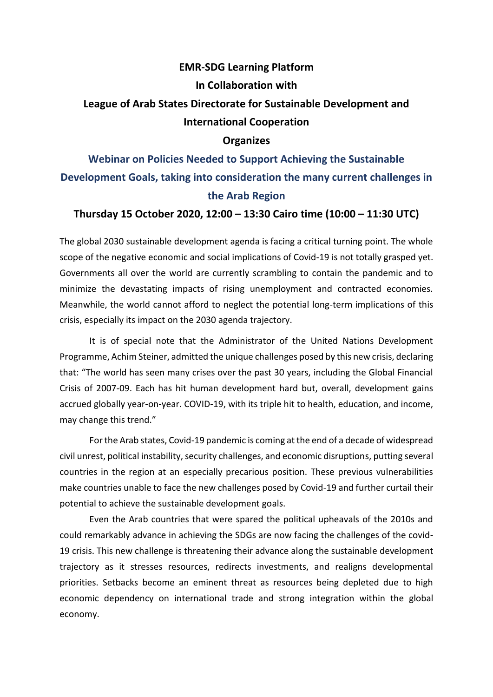#### **EMR-SDG Learning Platform**

#### **In Collaboration with**

## **League of Arab States Directorate for Sustainable Development and International Cooperation**

### **Organizes**

# **Webinar on Policies Needed to Support Achieving the Sustainable Development Goals, taking into consideration the many current challenges in the Arab Region**

#### **Thursday 15 October 2020, 12:00 – 13:30 Cairo time (10:00 – 11:30 UTC)**

The global 2030 sustainable development agenda is facing a critical turning point. The whole scope of the negative economic and social implications of Covid-19 is not totally grasped yet. Governments all over the world are currently scrambling to contain the pandemic and to minimize the devastating impacts of rising unemployment and contracted economies. Meanwhile, the world cannot afford to neglect the potential long-term implications of this crisis, especially its impact on the 2030 agenda trajectory.

It is of special note that the Administrator of the United Nations Development Programme, Achim Steiner, admitted the unique challenges posed by this new crisis, declaring that: "The world has seen many crises over the past 30 years, including the Global Financial Crisis of 2007-09. Each has hit human development hard but, overall, development gains accrued globally year-on-year. COVID-19, with its triple hit to health, education, and income, may change this trend."

For the Arab states, Covid-19 pandemic is coming at the end of a decade of widespread civil unrest, political instability, security challenges, and economic disruptions, putting several countries in the region at an especially precarious position. These previous vulnerabilities make countries unable to face the new challenges posed by Covid-19 and further curtail their potential to achieve the sustainable development goals.

Even the Arab countries that were spared the political upheavals of the 2010s and could remarkably advance in achieving the SDGs are now facing the challenges of the covid-19 crisis. This new challenge is threatening their advance along the sustainable development trajectory as it stresses resources, redirects investments, and realigns developmental priorities. Setbacks become an eminent threat as resources being depleted due to high economic dependency on international trade and strong integration within the global economy.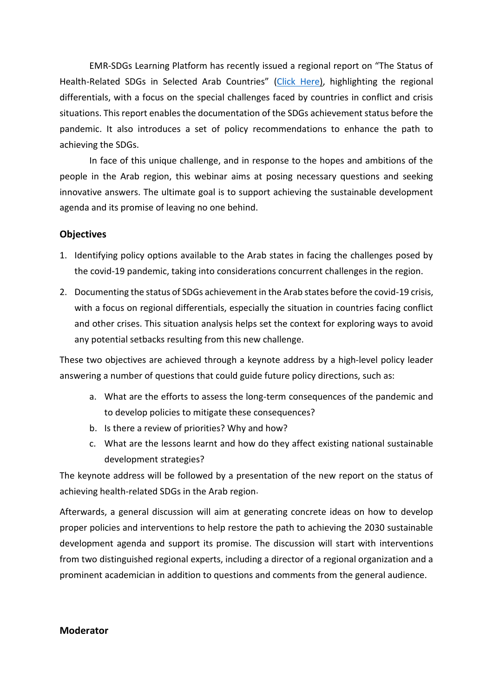EMR-SDGs Learning Platform has recently issued a regional report on "The Status of Health-Related SDGs in Selected Arab Countries" [\(Click Here\)](https://files.emrsdgslearn.net/uploads/health%20SDGs%20report%20final.pdf), highlighting the regional differentials, with a focus on the special challenges faced by countries in conflict and crisis situations. This report enables the documentation of the SDGs achievement status before the pandemic. It also introduces a set of policy recommendations to enhance the path to achieving the SDGs.

In face of this unique challenge, and in response to the hopes and ambitions of the people in the Arab region, this webinar aims at posing necessary questions and seeking innovative answers. The ultimate goal is to support achieving the sustainable development agenda and its promise of leaving no one behind.

#### **Objectives**

- 1. Identifying policy options available to the Arab states in facing the challenges posed by the covid-19 pandemic, taking into considerations concurrent challenges in the region.
- 2. Documenting the status of SDGs achievement in the Arab states before the covid-19 crisis, with a focus on regional differentials, especially the situation in countries facing conflict and other crises. This situation analysis helps set the context for exploring ways to avoid any potential setbacks resulting from this new challenge.

These two objectives are achieved through a keynote address by a high-level policy leader answering a number of questions that could guide future policy directions, such as:

- a. What are the efforts to assess the long-term consequences of the pandemic and to develop policies to mitigate these consequences?
- b. Is there a review of priorities? Why and how?
- c. What are the lessons learnt and how do they affect existing national sustainable development strategies?

The keynote address will be followed by a presentation of the new report on the status of achieving health-related SDGs in the Arab region.

Afterwards, a general discussion will aim at generating concrete ideas on how to develop proper policies and interventions to help restore the path to achieving the 2030 sustainable development agenda and support its promise. The discussion will start with interventions from two distinguished regional experts, including a director of a regional organization and a prominent academician in addition to questions and comments from the general audience.

#### **Moderator**